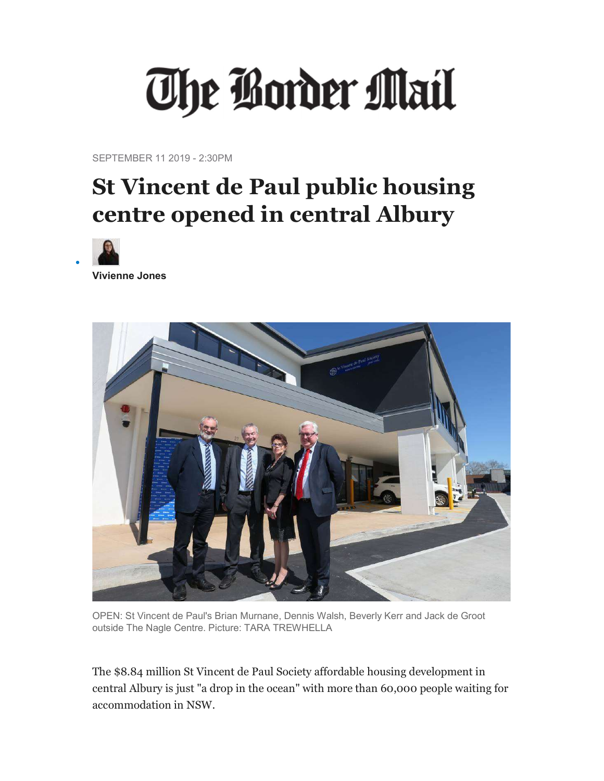## The Border Mail

SEPTEMBER 11 2019 - 2:30PM

## St Vincent de Paul public housing centre opened in central Albury



 $\bullet$ 

Vivienne Jones



OPEN: St Vincent de Paul's Brian Murnane, Dennis Walsh, Beverly Kerr and Jack de Groot outside The Nagle Centre. Picture: TARA TREWHELLA

The \$8.84 million St Vincent de Paul Society affordable housing development in central Albury is just "a drop in the ocean" with more than 60,000 people waiting for accommodation in NSW.